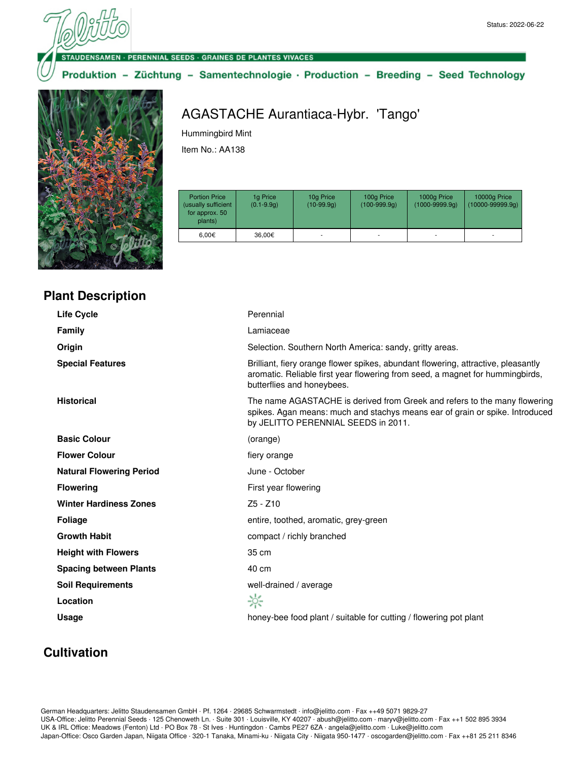#### **DENSAMEN · PERENNIAL SEEDS · GRAINES DE PLANTES VIVACES**

### Produktion - Züchtung - Samentechnologie · Production - Breeding - Seed Technology



**Plant Description**

# AGASTACHE Aurantiaca-Hybr. 'Tango'

Hummingbird Mint

Item No.: AA138

| <b>Portion Price</b><br>(usually sufficient<br>for approx. 50<br>plants) | 1g Price<br>$(0.1 - 9.9q)$ | 10g Price<br>$(10-99.9q)$ | 100g Price<br>$(100-999.9q)$ | 1000g Price<br>$(1000 - 9999.9q)$ | 10000g Price<br>$(10000 - 99999.9q)$ |
|--------------------------------------------------------------------------|----------------------------|---------------------------|------------------------------|-----------------------------------|--------------------------------------|
| $6.00 \in$                                                               | 36.00€                     | ۰                         |                              |                                   | ۰                                    |

| Perennial                                                                                                                                                                                        |
|--------------------------------------------------------------------------------------------------------------------------------------------------------------------------------------------------|
| Lamiaceae                                                                                                                                                                                        |
| Selection. Southern North America: sandy, gritty areas.                                                                                                                                          |
| Brilliant, fiery orange flower spikes, abundant flowering, attractive, pleasantly<br>aromatic. Reliable first year flowering from seed, a magnet for hummingbirds,<br>butterflies and honeybees. |
| The name AGASTACHE is derived from Greek and refers to the many flowering<br>spikes. Agan means: much and stachys means ear of grain or spike. Introduced<br>by JELITTO PERENNIAL SEEDS in 2011. |
| (orange)                                                                                                                                                                                         |
| fiery orange                                                                                                                                                                                     |
| June - October                                                                                                                                                                                   |
| First year flowering                                                                                                                                                                             |
| $Z5 - Z10$                                                                                                                                                                                       |
| entire, toothed, aromatic, grey-green                                                                                                                                                            |
| compact / richly branched                                                                                                                                                                        |
| 35 cm                                                                                                                                                                                            |
| 40 cm                                                                                                                                                                                            |
| well-drained / average                                                                                                                                                                           |
| ☆                                                                                                                                                                                                |
| honey-bee food plant / suitable for cutting / flowering pot plant                                                                                                                                |
|                                                                                                                                                                                                  |

# **Cultivation**